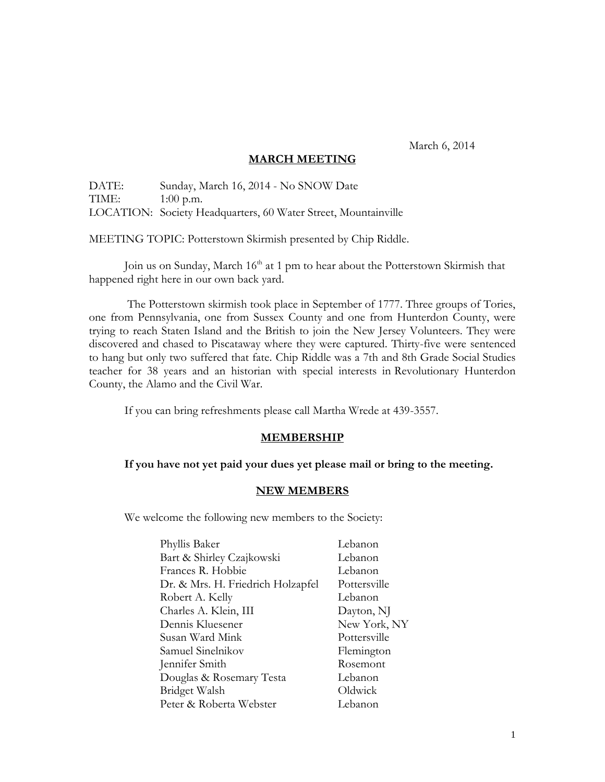March 6, 2014

### **MARCH MEETING**

DATE: Sunday, March 16, 2014 - No SNOW Date TIME: 1:00 p.m. LOCATION: Society Headquarters, 60 Water Street, Mountainville

MEETING TOPIC: Potterstown Skirmish presented by Chip Riddle.

Join us on Sunday, March 16<sup>th</sup> at 1 pm to hear about the Potterstown Skirmish that happened right here in our own back yard.

The Potterstown skirmish took place in September of 1777. Three groups of Tories, one from Pennsylvania, one from Sussex County and one from Hunterdon County, were trying to reach Staten Island and the British to join the New Jersey Volunteers. They were discovered and chased to Piscataway where they were captured. Thirty-five were sentenced to hang but only two suffered that fate. Chip Riddle was a 7th and 8th Grade Social Studies teacher for 38 years and an historian with special interests in Revolutionary Hunterdon County, the Alamo and the Civil War.

If you can bring refreshments please call Martha Wrede at 439-3557.

### **MEMBERSHIP**

### **If you have not yet paid your dues yet please mail or bring to the meeting.**

### **NEW MEMBERS**

We welcome the following new members to the Society:

| Phyllis Baker                     | Lebanon      |
|-----------------------------------|--------------|
| Bart & Shirley Czajkowski         | Lebanon      |
| Frances R. Hobbie                 | Lebanon      |
| Dr. & Mrs. H. Friedrich Holzapfel | Pottersville |
| Robert A. Kelly                   | Lebanon      |
| Charles A. Klein, III             | Dayton, NJ   |
| Dennis Kluesener                  | New York, NY |
| Susan Ward Mink                   | Pottersville |
| Samuel Sinelnikov                 | Flemington   |
| Jennifer Smith                    | Rosemont     |
| Douglas & Rosemary Testa          | Lebanon      |
| Bridget Walsh                     | Oldwick      |
| Peter & Roberta Webster           | Lebanon      |
|                                   |              |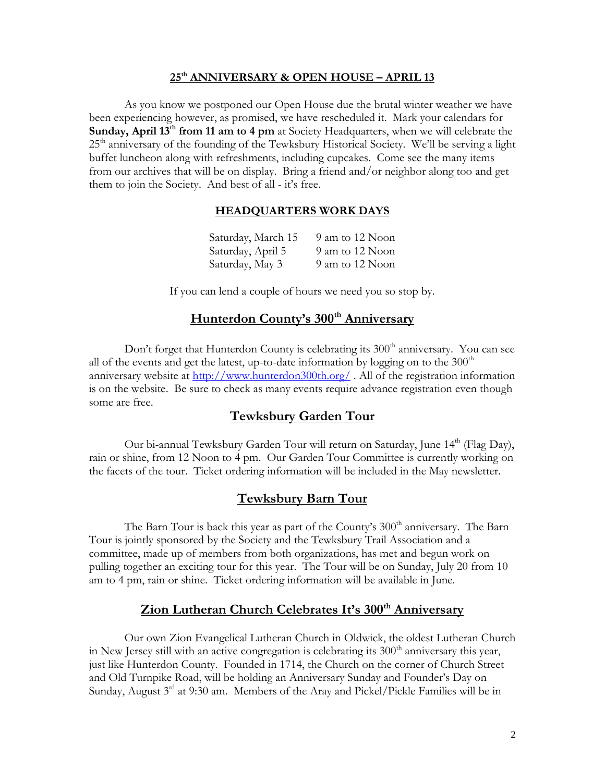#### **25th ANNIVERSARY & OPEN HOUSE – APRIL 13**

As you know we postponed our Open House due the brutal winter weather we have been experiencing however, as promised, we have rescheduled it. Mark your calendars for **Sunday, April 13th from 11 am to 4 pm** at Society Headquarters, when we will celebrate the  $25<sup>th</sup>$  anniversary of the founding of the Tewksbury Historical Society. We'll be serving a light buffet luncheon along with refreshments, including cupcakes. Come see the many items from our archives that will be on display. Bring a friend and/or neighbor along too and get them to join the Society. And best of all - it's free.

### **HEADQUARTERS WORK DAYS**

| Saturday, March 15 | 9 am to 12 Noon |
|--------------------|-----------------|
| Saturday, April 5  | 9 am to 12 Noon |
| Saturday, May 3    | 9 am to 12 Noon |

If you can lend a couple of hours we need you so stop by.

# **Hunterdon County's 300th Anniversary**

Don't forget that Hunterdon County is celebrating its  $300<sup>th</sup>$  anniversary. You can see all of the events and get the latest, up-to-date information by logging on to the  $300<sup>th</sup>$ anniversary website at<http://www.hunterdon300th.org/> . All of the registration information is on the website. Be sure to check as many events require advance registration even though some are free.

### **Tewksbury Garden Tour**

Our bi-annual Tewksbury Garden Tour will return on Saturday, June 14<sup>th</sup> (Flag Day), rain or shine, from 12 Noon to 4 pm. Our Garden Tour Committee is currently working on the facets of the tour. Ticket ordering information will be included in the May newsletter.

### **Tewksbury Barn Tour**

The Barn Tour is back this year as part of the County's  $300<sup>th</sup>$  anniversary. The Barn Tour is jointly sponsored by the Society and the Tewksbury Trail Association and a committee, made up of members from both organizations, has met and begun work on pulling together an exciting tour for this year. The Tour will be on Sunday, July 20 from 10 am to 4 pm, rain or shine. Ticket ordering information will be available in June.

# **Zion Lutheran Church Celebrates It's 300th Anniversary**

Our own Zion Evangelical Lutheran Church in Oldwick, the oldest Lutheran Church in New Jersey still with an active congregation is celebrating its  $300<sup>th</sup>$  anniversary this year, just like Hunterdon County. Founded in 1714, the Church on the corner of Church Street and Old Turnpike Road, will be holding an Anniversary Sunday and Founder's Day on Sunday, August 3<sup>rd</sup> at 9:30 am. Members of the Aray and Pickel/Pickle Families will be in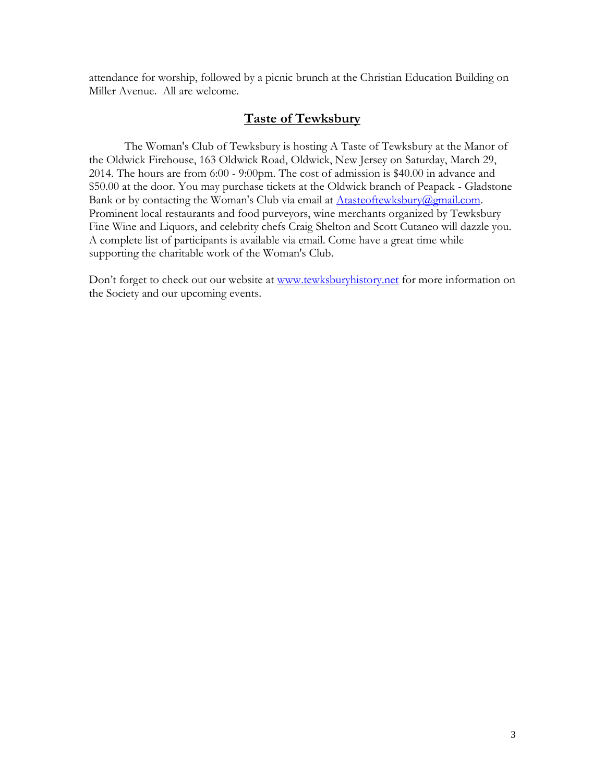attendance for worship, followed by a picnic brunch at the Christian Education Building on Miller Avenue. All are welcome.

### **Taste of Tewksbury**

The Woman's Club of Tewksbury is hosting A Taste of Tewksbury at the Manor of the Oldwick Firehouse, 163 Oldwick Road, Oldwick, New Jersey on Saturday, March 29, 2014. The hours are from 6:00 - 9:00pm. The cost of admission is \$40.00 in advance and \$50.00 at the door. You may purchase tickets at the Oldwick branch of Peapack - Gladstone Bank or by contacting the Woman's Club via email at [Atasteoftewksbury@gmail.com.](mailto:Atasteoftewksbury@gmail.com) Prominent local restaurants and food purveyors, wine merchants organized by Tewksbury Fine Wine and Liquors, and celebrity chefs Craig Shelton and Scott Cutaneo will dazzle you. A complete list of participants is available via email. Come have a great time while supporting the charitable work of the Woman's Club.

Don't forget to check out our website at [www.tewksburyhistory.net](http://www.tewksburyhistory.net/) for more information on the Society and our upcoming events.